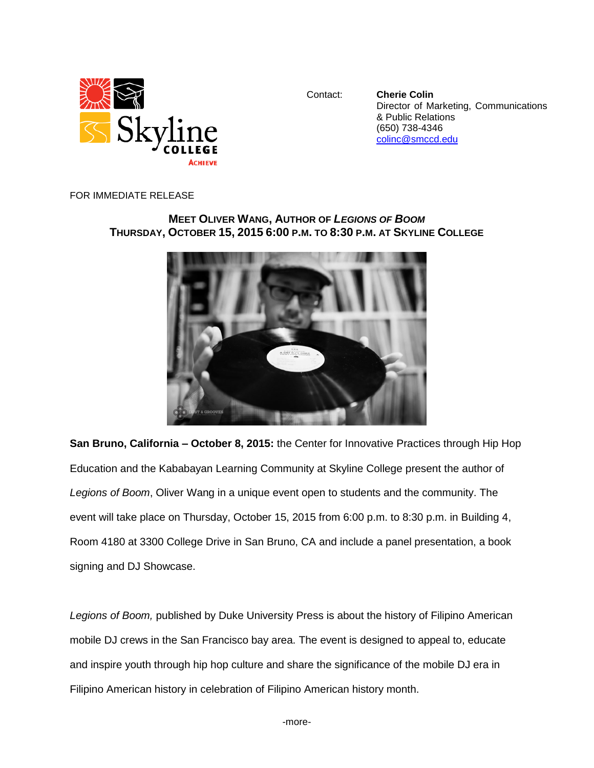

Contact: **Cherie Colin** Director of Marketing, Communications & Public Relations (650) 738-4346 [colinc@smccd.edu](mailto:colinc@smccd.edu)

FOR IMMEDIATE RELEASE

## **MEET OLIVER WANG, AUTHOR OF** *LEGIONS OF BOOM* THURSDAY, OCTOBER 15, 2015 6:00 P.M. TO 8:30 P.M. AT SKYLINE COLLEGE



**San Bruno, California – October 8, 2015:** the Center for Innovative Practices through Hip Hop Education and the Kababayan Learning Community at Skyline College present the author of *Legions of Boom*, Oliver Wang in a unique event open to students and the community. The event will take place on Thursday, October 15, 2015 from 6:00 p.m. to 8:30 p.m. in Building 4, Room 4180 at 3300 College Drive in San Bruno, CA and include a panel presentation, a book signing and DJ Showcase.

*Legions of Boom,* published by Duke University Press is about the history of Filipino American mobile DJ crews in the San Francisco bay area. The event is designed to appeal to, educate and inspire youth through hip hop culture and share the significance of the mobile DJ era in Filipino American history in celebration of Filipino American history month.